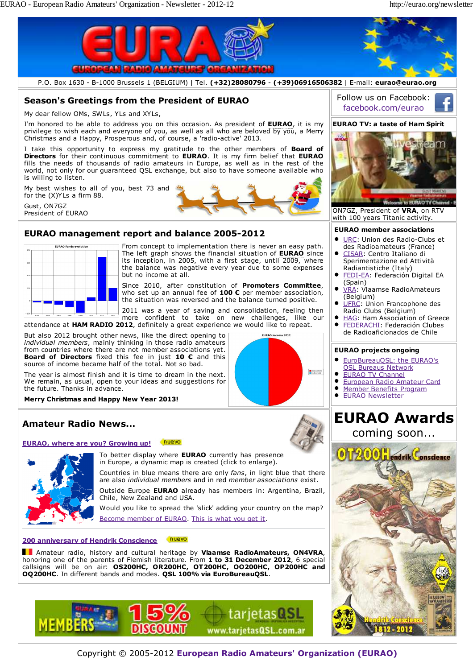